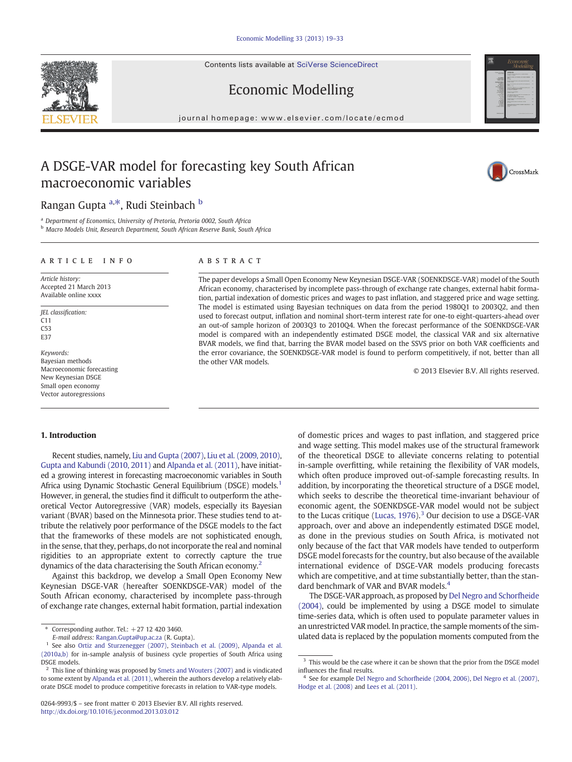Contents lists available at [SciVerse ScienceDirect](http://www.sciencedirect.com/science/journal/02649993)



## Economic Modelling

journal homepage: www.elsevier.com/locate/ecmod

## A DSGE-VAR model for forecasting key South African macroeconomic variables



## Rangan Gupta <sup>a,\*</sup>, Rudi Steinbach <sup>b</sup>

<sup>a</sup> Department of Economics, University of Pretoria, Pretoria 0002, South Africa

**b Macro Models Unit, Research Department, South African Reserve Bank, South Africa** 

### article info abstract

Article history: Accepted 21 March 2013 Available online xxxx

JEL classification: C11  $C53$ E37

Keywords: Bayesian methods Macroeconomic forecasting New Keynesian DSGE Small open economy Vector autoregressions

The paper develops a Small Open Economy New Keynesian DSGE-VAR (SOENKDSGE-VAR) model of the South African economy, characterised by incomplete pass-through of exchange rate changes, external habit formation, partial indexation of domestic prices and wages to past inflation, and staggered price and wage setting. The model is estimated using Bayesian techniques on data from the period 1980Q1 to 2003Q2, and then used to forecast output, inflation and nominal short-term interest rate for one-to eight-quarters-ahead over an out-of sample horizon of 2003Q3 to 2010Q4. When the forecast performance of the SOENKDSGE-VAR model is compared with an independently estimated DSGE model, the classical VAR and six alternative BVAR models, we find that, barring the BVAR model based on the SSVS prior on both VAR coefficients and the error covariance, the SOENKDSGE-VAR model is found to perform competitively, if not, better than all the other VAR models.

© 2013 Elsevier B.V. All rights reserved.

### 1. Introduction

Recent studies, namely, [Liu and Gupta \(2007\)](#page--1-0), [Liu et al. \(2009, 2010\),](#page--1-0) [Gupta and Kabundi \(2010, 2011\)](#page--1-0) and [Alpanda et al. \(2011\),](#page--1-0) have initiated a growing interest in forecasting macroeconomic variables in South Africa using Dynamic Stochastic General Equilibrium (DSGE) models.<sup>1</sup> However, in general, the studies find it difficult to outperform the atheoretical Vector Autoregressive (VAR) models, especially its Bayesian variant (BVAR) based on the Minnesota prior. These studies tend to attribute the relatively poor performance of the DSGE models to the fact that the frameworks of these models are not sophisticated enough, in the sense, that they, perhaps, do not incorporate the real and nominal rigidities to an appropriate extent to correctly capture the true dynamics of the data characterising the South African economy.<sup>2</sup>

Against this backdrop, we develop a Small Open Economy New Keynesian DSGE-VAR (hereafter SOENKDSGE-VAR) model of the South African economy, characterised by incomplete pass-through of exchange rate changes, external habit formation, partial indexation

of domestic prices and wages to past inflation, and staggered price and wage setting. This model makes use of the structural framework of the theoretical DSGE to alleviate concerns relating to potential in-sample overfitting, while retaining the flexibility of VAR models, which often produce improved out-of-sample forecasting results. In addition, by incorporating the theoretical structure of a DSGE model, which seeks to describe the theoretical time-invariant behaviour of economic agent, the SOENKDSGE-VAR model would not be subject to the Lucas critique ([Lucas, 1976\)](#page--1-0).<sup>3</sup> Our decision to use a DSGE-VAR approach, over and above an independently estimated DSGE model, as done in the previous studies on South Africa, is motivated not only because of the fact that VAR models have tended to outperform DSGE model forecasts for the country, but also because of the available international evidence of DSGE-VAR models producing forecasts which are competitive, and at time substantially better, than the standard benchmark of VAR and BVAR models.<sup>4</sup>

The DSGE-VAR approach, as proposed by [Del Negro and Schorfheide](#page--1-0) [\(2004\)](#page--1-0), could be implemented by using a DSGE model to simulate time-series data, which is often used to populate parameter values in an unrestricted VAR model. In practice, the sample moments of the simulated data is replaced by the population moments computed from the

 $*$  Corresponding author. Tel.:  $+27$  12 420 3460.

E-mail address: [Rangan.Gupta@up.ac.za](mailto:Rangan.Gupta@up.ac.za) (R. Gupta).

See also [Ortiz and Sturzenegger \(2007\),](#page--1-0) [Steinbach et al. \(2009\),](#page--1-0) [Alpanda et al.](#page--1-0) [\(2010a,b\)](#page--1-0) for in-sample analysis of business cycle properties of South Africa using DSGE models.

<sup>2</sup> This line of thinking was proposed by [Smets and Wouters \(2007\)](#page--1-0) and is vindicated to some extent by [Alpanda et al. \(2011\)](#page--1-0), wherein the authors develop a relatively elaborate DSGE model to produce competitive forecasts in relation to VAR-type models.

<sup>0264-9993/\$</sup> – see front matter © 2013 Elsevier B.V. All rights reserved. <http://dx.doi.org/10.1016/j.econmod.2013.03.012>

 $^{\rm 3}$  This would be the case where it can be shown that the prior from the DSGE model influences the final results.

<sup>4</sup> See for example [Del Negro and Schorfheide \(2004, 2006\)](#page--1-0), [Del Negro et al. \(2007\)](#page--1-0), [Hodge et al. \(2008\)](#page--1-0) and [Lees et al. \(2011\)](#page--1-0).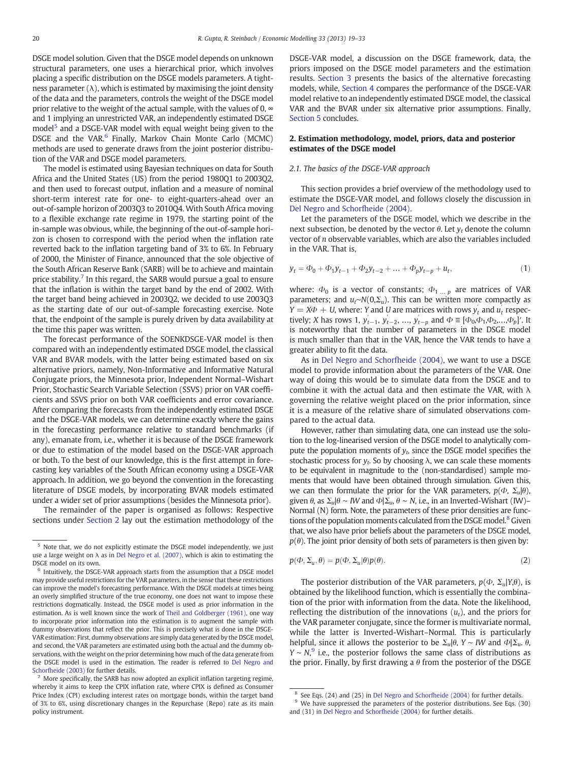DSGE model solution. Given that the DSGE model depends on unknown structural parameters, one uses a hierarchical prior, which involves placing a specific distribution on the DSGE models parameters. A tightness parameter  $(\lambda)$ , which is estimated by maximising the joint density of the data and the parameters, controls the weight of the DSGE model prior relative to the weight of the actual sample, with the values of 0,  $\infty$ and 1 implying an unrestricted VAR, an independently estimated DSGE model<sup>5</sup> and a DSGE-VAR model with equal weight being given to the DSGE and the VAR.<sup>6</sup> Finally, Markov Chain Monte Carlo (MCMC) methods are used to generate draws from the joint posterior distribution of the VAR and DSGE model parameters.

The model is estimated using Bayesian techniques on data for South Africa and the United States (US) from the period 1980Q1 to 2003Q2, and then used to forecast output, inflation and a measure of nominal short-term interest rate for one- to eight-quarters-ahead over an out-of-sample horizon of 2003Q3 to 2010Q4. With South Africa moving to a flexible exchange rate regime in 1979, the starting point of the in-sample was obvious, while, the beginning of the out-of-sample horizon is chosen to correspond with the period when the inflation rate reverted back to the inflation targeting band of 3% to 6%. In February of 2000, the Minister of Finance, announced that the sole objective of the South African Reserve Bank (SARB) will be to achieve and maintain price stability.<sup>7</sup> In this regard, the SARB would pursue a goal to ensure that the inflation is within the target band by the end of 2002. With the target band being achieved in 2003Q2, we decided to use 2003Q3 as the starting date of our out-of-sample forecasting exercise. Note that, the endpoint of the sample is purely driven by data availability at the time this paper was written.

The forecast performance of the SOENKDSGE-VAR model is then compared with an independently estimated DSGE model, the classical VAR and BVAR models, with the latter being estimated based on six alternative priors, namely, Non-Informative and Informative Natural Conjugate priors, the Minnesota prior, Independent Normal–Wishart Prior, Stochastic Search Variable Selection (SSVS) prior on VAR coefficients and SSVS prior on both VAR coefficients and error covariance. After comparing the forecasts from the independently estimated DSGE and the DSGE-VAR models, we can determine exactly where the gains in the forecasting performance relative to standard benchmarks (if any), emanate from, i.e., whether it is because of the DSGE framework or due to estimation of the model based on the DSGE-VAR approach or both. To the best of our knowledge, this is the first attempt in forecasting key variables of the South African economy using a DSGE-VAR approach. In addition, we go beyond the convention in the forecasting literature of DSGE models, by incorporating BVAR models estimated under a wider set of prior assumptions (besides the Minnesota prior).

The remainder of the paper is organised as follows: Respective sections under Section 2 lay out the estimation methodology of the DSGE-VAR model, a discussion on the DSGE framework, data, the priors imposed on the DSGE model parameters and the estimation results. [Section 3](#page--1-0) presents the basics of the alternative forecasting models, while, [Section 4](#page--1-0) compares the performance of the DSGE-VAR model relative to an independently estimated DSGE model, the classical VAR and the BVAR under six alternative prior assumptions. Finally, [Section 5](#page--1-0) concludes.

### 2. Estimation methodology, model, priors, data and posterior estimates of the DSGE model

### 2.1. The basics of the DSGE-VAR approach

This section provides a brief overview of the methodology used to estimate the DSGE-VAR model, and follows closely the discussion in [Del Negro and Schorfheide \(2004\)](#page--1-0).

Let the parameters of the DSGE model, which we describe in the next subsection, be denoted by the vector  $θ$ . Let  $γ<sub>t</sub>$  denote the column vector of n observable variables, which are also the variables included in the VAR. That is,

$$
y_t = \Phi_0 + \Phi_1 y_{t-1} + \Phi_2 y_{t-2} + \dots + \Phi_p y_{t-p} + u_t,
$$
\n(1)

where:  $\Phi_0$  is a vector of constants;  $\Phi_1 \dots p$  are matrices of VAR parameters; and  $u_t~N(0, \Sigma_u)$ . This can be written more compactly as  $Y = X\Phi + U$ , where: Y and U are matrices with rows  $y'_t$  and  $u'_t$  respectively; *X* has rows 1,  $y'_{t-1}$ ,  $y'_{t-2}$ , ...,  $y'_{t-p}$  and  $\Phi \equiv [\Phi_0, \Phi_1, \Phi_2, ..., \Phi_p]'$ . It is noteworthy that the number of parameters in the DSGE model is much smaller than that in the VAR, hence the VAR tends to have a greater ability to fit the data.

As in [Del Negro and Schorfheide \(2004\),](#page--1-0) we want to use a DSGE model to provide information about the parameters of the VAR. One way of doing this would be to simulate data from the DSGE and to combine it with the actual data and then estimate the VAR, with  $\lambda$ governing the relative weight placed on the prior information, since it is a measure of the relative share of simulated observations compared to the actual data.

However, rather than simulating data, one can instead use the solution to the log-linearised version of the DSGE model to analytically compute the population moments of  $y_t$ , since the DSGE model specifies the stochastic process for  $y_t$ . So by choosing  $\lambda$ , we can scale these moments to be equivalent in magnitude to the (non-standardised) sample moments that would have been obtained through simulation. Given this, we can then formulate the prior for the VAR parameters,  $p(\Phi, \Sigma_u | \theta)$ , given  $\theta$ , as  $\Sigma_u | \theta \sim IW$  and  $\Phi | \Sigma_u, \theta \sim N$ , i.e., in an Inverted-Wishart (IW)– Normal (N) form. Note, the parameters of these prior densities are functions of the population moments calculated from the DSGE model.<sup>8</sup> Given that, we also have prior beliefs about the parameters of the DSGE model,  $p(\theta)$ . The joint prior density of both sets of parameters is then given by:

$$
p(\Phi, \Sigma_u, \theta) = p(\Phi, \Sigma_u | \theta) p(\theta).
$$
 (2)

The posterior distribution of the VAR parameters,  $p(\Phi, \Sigma_u | Y, \theta)$ , is obtained by the likelihood function, which is essentially the combination of the prior with information from the data. Note the likelihood, reflecting the distribution of the innovations  $(u_t)$ , and the priors for the VAR parameter conjugate, since the former is multivariate normal, while the latter is Inverted-Wishart–Normal. This is particularly helpful, since it allows the posterior to be  $\Sigma_u$ |θ, Y ∼ IW and Φ| $\Sigma_u$ . θ,  $Y \sim N$ , i.e., the posterior follows the same class of distributions as the prior. Finally, by first drawing a  $\theta$  from the posterior of the DSGE

<sup>5</sup> Note that, we do not explicitly estimate the DSGE model independently, we just use a large weight on  $\lambda$  as in [Del Negro et al. \(2007\)](#page--1-0), which is akin to estimating the DSGE model on its own.

<sup>&</sup>lt;sup>6</sup> Intuitively, the DSGE-VAR approach starts from the assumption that a DSGE model may provide useful restrictions for the VAR parameters, in the sense that these restrictions can improve the model's forecasting performance. With the DSGE models at times being an overly simplified structure of the true economy, one does not want to impose these restrictions dogmatically. Instead, the DSGE model is used as prior information in the estimation. As is well known since the work of [Theil and Goldberger \(1961\)](#page--1-0), one way to incorporate prior information into the estimation is to augment the sample with dummy observations that reflect the prior. This is precisely what is done in the DSGE-VAR estimation: First, dummy observations are simply data generated by the DSGE model, and second, the VAR parameters are estimated using both the actual and the dummy observations, with the weight on the prior determining how much of the data generate from the DSGE model is used in the estimation. The reader is referred to [Del Negro and](#page--1-0) [Schorfheide \(2003\)](#page--1-0) for further details.

 $<sup>7</sup>$  More specifically, the SARB has now adopted an explicit inflation targeting regime,</sup> whereby it aims to keep the CPIX inflation rate, where CPIX is defined as Consumer Price Index (CPI) excluding interest rates on mortgage bonds, within the target band of 3% to 6%, using discretionary changes in the Repurchase (Repo) rate as its main policy instrument.

<sup>&</sup>lt;sup>8</sup> See Eqs. (24) and (25) in [Del Negro and Schorfheide \(2004\)](#page--1-0) for further details.

<sup>&</sup>lt;sup>9</sup> We have suppressed the parameters of the posterior distributions. See Eqs. (30) and (31) in [Del Negro and Schorfheide \(2004\)](#page--1-0) for further details.